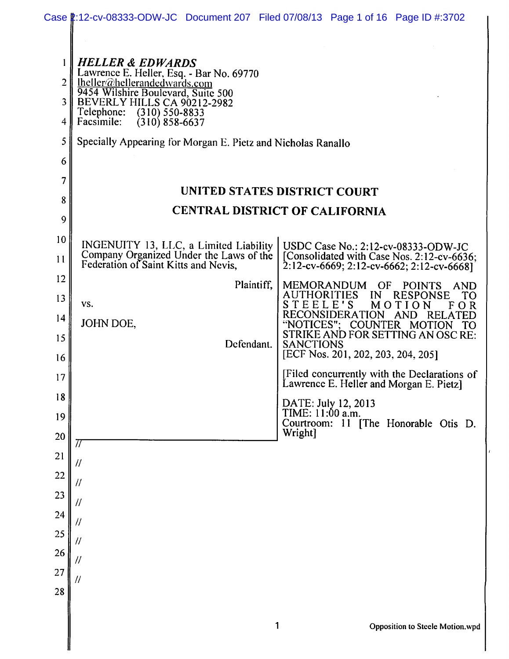|    | Case 2:12-cv-08333-ODW-JC Document 207 Filed 07/08/13 Page 1 of 16 Page ID #:3702 |                                |                                    |                                                                                         |
|----|-----------------------------------------------------------------------------------|--------------------------------|------------------------------------|-----------------------------------------------------------------------------------------|
|    |                                                                                   |                                |                                    |                                                                                         |
| 1  | <b>HELLER &amp; EDWARDS</b><br>Lawrence E. Heller, Esq. - Bar No. 69770           |                                |                                    |                                                                                         |
| 2  | lheller@hellerandedwards.com<br>9454 Wilshire Boulevard, Suite 500                |                                |                                    |                                                                                         |
| 3  | BEVERLY HILLS CA 90212-2982<br>Telephone:<br>$(310)$ 550-8833                     |                                |                                    |                                                                                         |
| 4  | Facsimile:<br>$(310) 858 - 6637$                                                  |                                |                                    |                                                                                         |
| 5  | Specially Appearing for Morgan E. Pietz and Nicholas Ranallo                      |                                |                                    |                                                                                         |
| 6  |                                                                                   |                                |                                    |                                                                                         |
| 7  | UNITED STATES DISTRICT COURT                                                      |                                |                                    |                                                                                         |
| 8  | <b>CENTRAL DISTRICT OF CALIFORNIA</b>                                             |                                |                                    |                                                                                         |
| 9  |                                                                                   |                                |                                    |                                                                                         |
| 10 | INGENUITY 13, LLC, a Limited Liability                                            |                                |                                    | USDC Case No.: 2:12-cv-08333-ODW-JC                                                     |
| 11 | Company Organized Under the Laws of the<br>Federation of Saint Kitts and Nevis,   |                                |                                    | [Consolidated with Case Nos. 2:12-cv-6636;<br>2:12-cv-6669; 2:12-cv-6662; 2:12-cv-6668] |
| 12 | Plaintiff,                                                                        |                                | MEMORANDUM OF POINTS               | AND                                                                                     |
| 13 | VS.                                                                               | <b>AUTHORITIES</b><br>STEELE'S | IN                                 | <b>RESPONSE</b><br>ТО<br>MOTION<br>FOR                                                  |
| 14 | JOHN DOE,                                                                         | "NOTICES":                     |                                    | RECONSIDERATION AND RELATED<br>COUNTER MOTION<br>- TO                                   |
| 15 | Defendant.                                                                        | <b>SANCTIONS</b>               |                                    | STRIKE AND FOR SETTING AN OSC RE:                                                       |
| 16 |                                                                                   |                                | [ECF Nos. 201, 202, 203, 204, 205] |                                                                                         |
| 17 |                                                                                   |                                |                                    | [Filed concurrently with the Declarations of<br>awrence E. Heller and Morgan E. Pietz]  |
| 18 |                                                                                   |                                | DATE: July 12, 2013                |                                                                                         |
| 19 |                                                                                   | TIME: 11:00 a.m.               |                                    | Courtroom: 11 [The Honorable Otis D.                                                    |
| 20 |                                                                                   | Wright]                        |                                    |                                                                                         |
| 21 | 11                                                                                |                                |                                    |                                                                                         |
| 22 |                                                                                   |                                |                                    |                                                                                         |
| 23 |                                                                                   |                                |                                    |                                                                                         |
| 24 |                                                                                   |                                |                                    |                                                                                         |
| 25 | $^{\prime\prime}$                                                                 |                                |                                    |                                                                                         |
| 26 | $^{\prime\prime}$                                                                 |                                |                                    |                                                                                         |
| 27 | $\mu$                                                                             |                                |                                    |                                                                                         |
| 28 |                                                                                   |                                |                                    |                                                                                         |
|    |                                                                                   |                                |                                    |                                                                                         |

I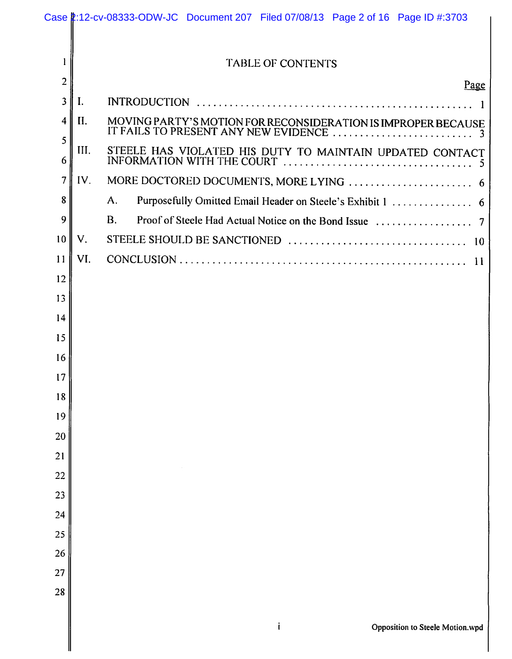|          |      | Case 2:12-cv-08333-ODW-JC Document 207 Filed 07/08/13 Page 2 of 16 Page ID #:3703 |
|----------|------|-----------------------------------------------------------------------------------|
|          |      |                                                                                   |
| ł        |      | <b>TABLE OF CONTENTS</b>                                                          |
| 2        |      | <u>Page</u>                                                                       |
| 3        | Ι.   |                                                                                   |
| 4        | Н.   | MOVING PARTY'S MOTION FOR RECONSIDERATION IS IMPROPER BECAUSE                     |
| 5<br>6   | III. | STEELE HAS VIOLATED HIS DUTY TO MAINTAIN UPDATED CONTACT                          |
| 7        | IV.  |                                                                                   |
| 8        |      | А.                                                                                |
| 9        |      | <b>B.</b>                                                                         |
| 10       | V.   |                                                                                   |
| 11       | VI.  |                                                                                   |
| 12       |      |                                                                                   |
| 13       |      |                                                                                   |
| 14       |      |                                                                                   |
| 15       |      |                                                                                   |
| 16       |      |                                                                                   |
| 17       |      |                                                                                   |
| 18       |      |                                                                                   |
| 19<br>20 |      |                                                                                   |
| 21       |      |                                                                                   |
| 22       |      |                                                                                   |
| 23       |      |                                                                                   |
| 24       |      |                                                                                   |
| 25       |      |                                                                                   |
| 26       |      |                                                                                   |
| 27       |      |                                                                                   |
| 28       |      |                                                                                   |
|          |      |                                                                                   |
|          |      | Opposition to Steele Motion.wpd                                                   |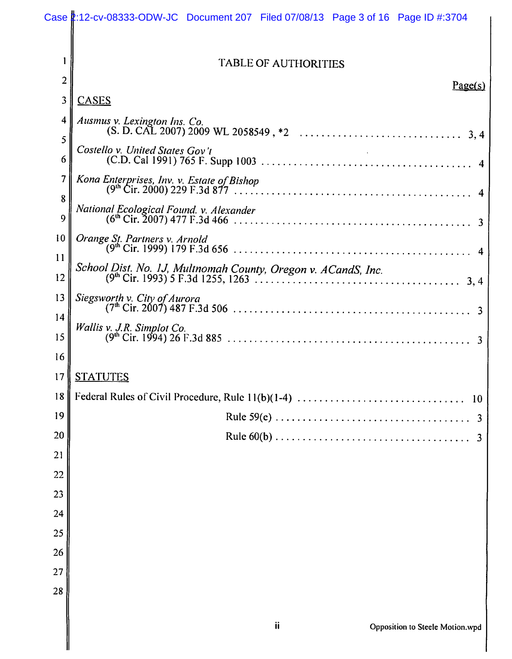|                | Case 2:12-cv-08333-ODW-JC Document 207 Filed 07/08/13 Page 3 of 16 Page ID #:3704 |  |  |  |  |  |
|----------------|-----------------------------------------------------------------------------------|--|--|--|--|--|
|                |                                                                                   |  |  |  |  |  |
|                | <b>TABLE OF AUTHORITIES</b>                                                       |  |  |  |  |  |
| $\overline{2}$ | Page(s)                                                                           |  |  |  |  |  |
| 3              | <b>CASES</b>                                                                      |  |  |  |  |  |
| 4<br>5         | Ausmus v. Lexington Ins. Co.<br>3, 4                                              |  |  |  |  |  |
| 6              | Costello v. United States Gov't                                                   |  |  |  |  |  |
| 7              |                                                                                   |  |  |  |  |  |
| 8<br>9         | National Ecological Found. v. Alexander                                           |  |  |  |  |  |
| 10<br>11       | Orange St. Partners v. Arnold<br>4                                                |  |  |  |  |  |
| 12             | School Dist. No. 1J, Multnomah County, Oregon v. ACandS, Inc.<br>3, 4             |  |  |  |  |  |
| 13             | Siegsworth v. City of Aurora<br>3                                                 |  |  |  |  |  |
| 14<br>15       | Wallis v. J.R. Simplot Co.                                                        |  |  |  |  |  |
| 16             |                                                                                   |  |  |  |  |  |
| 17             | <b>STATUTES</b>                                                                   |  |  |  |  |  |
| 18             | 10                                                                                |  |  |  |  |  |
| 19             | $\overline{\mathbf{3}}$                                                           |  |  |  |  |  |
| 20             | $\overline{3}$                                                                    |  |  |  |  |  |
| 21             |                                                                                   |  |  |  |  |  |
| 22             |                                                                                   |  |  |  |  |  |
| 23             |                                                                                   |  |  |  |  |  |
| 24             |                                                                                   |  |  |  |  |  |
| 25             |                                                                                   |  |  |  |  |  |
| 26             |                                                                                   |  |  |  |  |  |
| 27             |                                                                                   |  |  |  |  |  |
| 28             |                                                                                   |  |  |  |  |  |
|                | ii<br>Opposition to Steele Motion.wpd                                             |  |  |  |  |  |
|                |                                                                                   |  |  |  |  |  |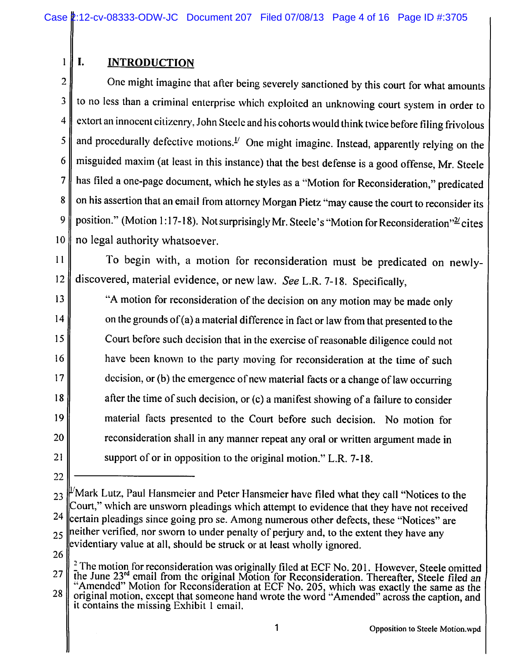#### $\mathbf{1}$  $\mathbf{I}$ . **INTRODUCTION**

One might imagine that after being severely sanctioned by this court for what amounts  $\overline{2}$ to no less than a criminal enterprise which exploited an unknowing court system in order to 3 extort an innocent citizenry, John Steele and his cohorts would think twice before filing frivolous 4 and procedurally defective motions.<sup> $1/$ </sup> One might imagine. Instead, apparently relying on the 5 misguided maxim (at least in this instance) that the best defense is a good offense, Mr. Steele 6 has filed a one-page document, which he styles as a "Motion for Reconsideration," predicated  $\overline{7}$ on his assertion that an email from attorney Morgan Pietz "may cause the court to reconsider its 8 position." (Motion 1:17-18). Not surprisingly Mr. Steele's "Motion for Reconsideration"<sup>22</sup> cites 9 no legal authority whatsoever. 10

To begin with, a motion for reconsideration must be predicated on newly- $11$ discovered, material evidence, or new law. See L.R. 7-18. Specifically, 12

"A motion for reconsideration of the decision on any motion may be made only on the grounds of (a) a material difference in fact or law from that presented to the Court before such decision that in the exercise of reasonable diligence could not have been known to the party moving for reconsideration at the time of such decision, or (b) the emergence of new material facts or a change of law occurring after the time of such decision, or (c) a manifest showing of a failure to consider material facts presented to the Court before such decision. No motion for reconsideration shall in any manner repeat any oral or written argument made in support of or in opposition to the original motion." L.R. 7-18.

22

13

 $14$ 

15

16

17

18

19

20

 $21$ 

Mark Lutz, Paul Hansmeier and Peter Hansmeier have filed what they call "Notices to the 23 Court," which are unsworn pleadings which attempt to evidence that they have not received 24 certain pleadings since going pro se. Among numerous other defects, these "Notices" are neither verified, nor sworn to under penalty of perjury and, to the extent they have any 25 evidentiary value at all, should be struck or at least wholly ignored.

<sup>&</sup>lt;sup>2</sup> The motion for reconsideration was originally filed at ECF No. 201. However, Steele omitted the June  $23^{rd}$  email from the original Motion for Reconsideration. Thereafter, Steele filed an "Amended" Motion for Reconsi 27 28 original motion, except that someone hand wrote the word "Amended" across the caption, and it contains the missing Exhibit 1 email.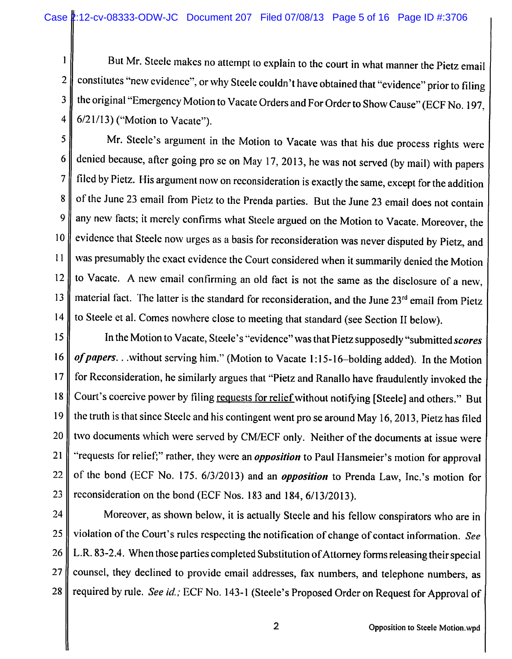But Mr. Steele makes no attempt to explain to the court in what manner the Pietz email  $\mathbf{1}$ constitutes "new evidence", or why Steele couldn't have obtained that "evidence" prior to filing  $\overline{2}$ the original "Emergency Motion to Vacate Orders and For Order to Show Cause" (ECF No. 197, 3  $\overline{\mathbf{4}}$  $6/21/13$ ) ("Motion to Vacate").

5 Mr. Steele's argument in the Motion to Vacate was that his due process rights were denied because, after going pro se on May 17, 2013, he was not served (by mail) with papers 6 filed by Pietz. His argument now on reconsideration is exactly the same, except for the addition  $\overline{7}$ of the June 23 email from Pietz to the Prenda parties. But the June 23 email does not contain 8 any new facts; it merely confirms what Steele argued on the Motion to Vacate. Moreover, the 9 evidence that Steele now urges as a basis for reconsideration was never disputed by Pietz, and  $10$ was presumably the exact evidence the Court considered when it summarily denied the Motion  $11$ to Vacate. A new email confirming an old fact is not the same as the disclosure of a new,  $12$ material fact. The latter is the standard for reconsideration, and the June 23<sup>rd</sup> email from Pietz 13 to Steele et al. Comes nowhere close to meeting that standard (see Section II below).  $14$ 

In the Motion to Vacate, Steele's "evidence" was that Pietz supposedly "submitted scores 15 of papers... without serving him." (Motion to Vacate 1:15-16-bolding added). In the Motion 16 for Reconsideration, he similarly argues that "Pietz and Ranallo have fraudulently invoked the  $17$ 18 Court's coercive power by filing requests for relief without notifying [Steele] and others." But the truth is that since Steele and his contingent went pro se around May 16, 2013, Pietz has filed 19 two documents which were served by CM/ECF only. Neither of the documents at issue were 20 "requests for relief;" rather, they were an *opposition* to Paul Hansmeier's motion for approval 21 22 of the bond (ECF No. 175. 6/3/2013) and an *opposition* to Prenda Law, Inc.'s motion for reconsideration on the bond (ECF Nos. 183 and 184, 6/13/2013). 23

Moreover, as shown below, it is actually Steele and his fellow conspirators who are in 24 violation of the Court's rules respecting the notification of change of contact information. See 25 L.R. 83-2.4. When those parties completed Substitution of Attorney forms releasing their special 26 27 counsel, they declined to provide email addresses, fax numbers, and telephone numbers, as required by rule. See id.; ECF No. 143-1 (Steele's Proposed Order on Request for Approval of 28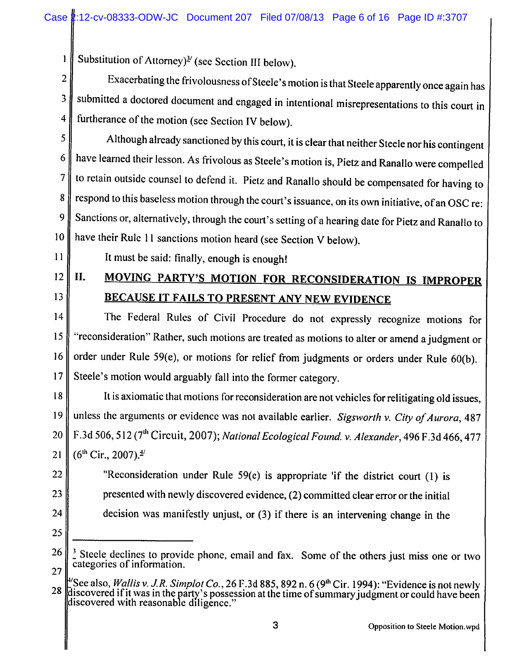Substitution of Attorney) $\frac{3}{2}$  (see Section III below).

Exacerbating the frivolousness of Steele's motion is that Steele apparently once again has  $\overline{2}$ submitted a doctored document and engaged in intentional misrepresentations to this court in 3 furtherance of the motion (see Section IV below).  $\overline{4}$ 

Although already sanctioned by this court, it is clear that neither Steele nor his contingent 5 have learned their lesson. As frivolous as Steele's motion is, Pietz and Ranallo were compelled 6 to retain outside counsel to defend it. Pietz and Ranallo should be compensated for having to  $7\overline{ }$ respond to this baseless motion through the court's issuance, on its own initiative, of an OSC re: 8 Sanctions or, alternatively, through the court's setting of a hearing date for Pietz and Ranallo to 9 have their Rule 11 sanctions motion heard (see Section V below). 10

 $11$ 

 $\mathbf{1}$ 

It must be said: finally, enough is enough!

# 12

 $13$ 

### MOVING PARTY'S MOTION FOR RECONSIDERATION IS IMPROPER  $II.$ BECAUSE IT FAILS TO PRESENT ANY NEW EVIDENCE

The Federal Rules of Civil Procedure do not expressly recognize motions for  $14$ "reconsideration" Rather, such motions are treated as motions to alter or amend a judgment or 15 order under Rule 59(e), or motions for relief from judgments or orders under Rule 60(b). 16 Steele's motion would arguably fall into the former category.  $17$ 

It is axiomatic that motions for reconsideration are not vehicles for relitigating old issues, 18 unless the arguments or evidence was not available earlier. Sigsworth v. City of Aurora, 487 19 F.3d 506, 512 (7<sup>th</sup> Circuit, 2007); National Ecological Found. v. Alexander, 496 F.3d 466, 477 20  $(6<sup>th</sup> Cir., 2007).$ <sup>4/</sup> 21

"Reconsideration under Rule 59(e) is appropriate 'if the district court (1) is presented with newly discovered evidence, (2) committed clear error or the initial decision was manifestly unjust, or (3) if there is an intervening change in the

25

22

23

<sup>26</sup>  $\frac{3}{2}$  Steele declines to provide phone, email and fax. Some of the others just miss one or two categories of information. 27

<sup>&</sup>lt;sup>1</sup>/See also, *Wallis v. J.R. Simplot Co.*, 26 F.3d 885, 892 n. 6 (9<sup>th</sup> Cir. 1994): "Evidence is not newly discovered if it was in the party's possession at the time of summary judgment or could have been discovered with 28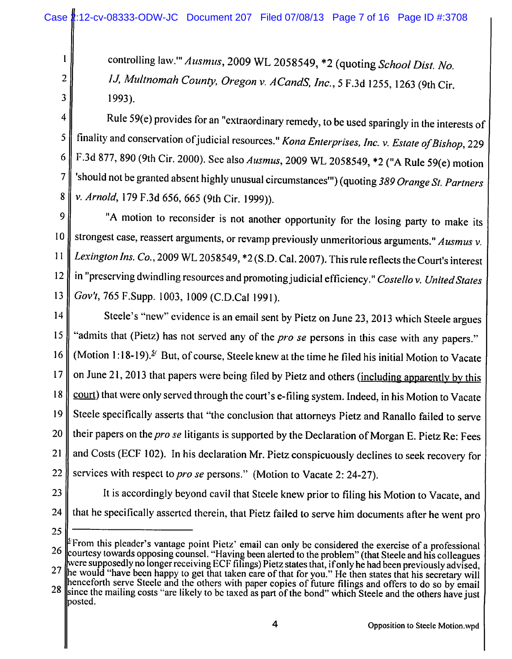controlling law." Ausmus, 2009 WL 2058549, \*2 (quoting School Dist. No. 1J, Multnomah County, Oregon v. ACandS, Inc., 5 F.3d 1255, 1263 (9th Cir. 1993).

3  $\overline{4}$ 

1

 $\overline{2}$ 

Rule 59(e) provides for an "extraordinary remedy, to be used sparingly in the interests of finality and conservation of judicial resources." Kona Enterprises, Inc. v. Estate of Bishop, 229 5 F.3d 877, 890 (9th Cir. 2000). See also Ausmus, 2009 WL 2058549, \*2 ("A Rule 59(e) motion 6 'should not be granted absent highly unusual circumstances") (quoting 389 Orange St. Partners  $\overline{7}$ v. Arnold, 179 F.3d 656, 665 (9th Cir. 1999)). 8

9

"A motion to reconsider is not another opportunity for the losing party to make its strongest case, reassert arguments, or revamp previously unmeritorious arguments." Ausmus  $v$ .  $10$ Lexington Ins. Co., 2009 WL 2058549, \*2 (S.D. Cal. 2007). This rule reflects the Court's interest  $11$ in "preserving dwindling resources and promoting judicial efficiency." Costello v. United States  $12$ Gov't, 765 F.Supp. 1003, 1009 (C.D.Cal 1991).  $13$ 

Steele's "new" evidence is an email sent by Pietz on June 23, 2013 which Steele argues  $14$ "admits that (Pietz) has not served any of the *pro se* persons in this case with any papers." 15 (Motion 1:18-19). $5/$  But, of course, Steele knew at the time he filed his initial Motion to Vacate 16 on June 21, 2013 that papers were being filed by Pietz and others (including apparently by this  $17$ court) that were only served through the court's e-filing system. Indeed, in his Motion to Vacate 18 Steele specifically asserts that "the conclusion that attorneys Pietz and Ranallo failed to serve 19 20 their papers on the pro se litigants is supported by the Declaration of Morgan E. Pietz Re: Fees and Costs (ECF 102). In his declaration Mr. Pietz conspicuously declines to seek recovery for 21 services with respect to pro se persons." (Motion to Vacate 2: 24-27). 22

23

It is accordingly beyond cavil that Steele knew prior to filing his Motion to Vacate, and that he specifically asserted therein, that Pietz failed to serve him documents after he went pro 24

 $\frac{5}{3}$  From this pleader's vantage point Pietz' email can only be considered the exercise of a professional  $26<sup>1</sup>$ courtesy towards opposing counsel. "Having been alerted to the problem" (that Steele and his colleagues were supposedly no longer receiving ECF filings) Pietz states that, if only he had been previously advised,

the would "have been happy to get that taken care of that for you." He then states that his secretary will 27 henceforth serve Stecle and the others with paper copies of future filings and offers to do so by email since the mailing costs "are likely to be taxed as part of the bond" which Steele and the others have just 28 posted.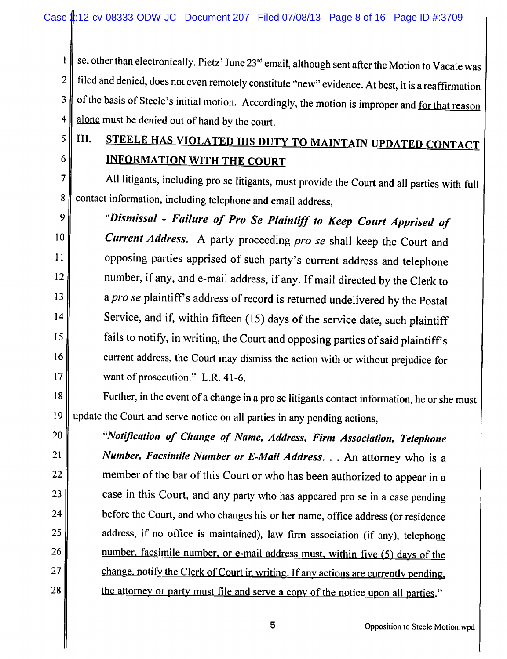se, other than electronically. Pietz' June 23<sup>rd</sup> email, although sent after the Motion to Vacate was  $\mathbf{I}$ filed and denied, does not even remotely constitute "new" evidence. At best, it is a reaffirmation  $\overline{2}$ of the basis of Steele's initial motion. Accordingly, the motion is improper and for that reason  $3<sup>1</sup>$ alone must be denied out of hand by the court.  $\overline{4}$ 

- 5
- 6

17

20

21

22

23

24

25

26

27

28

## STEELE HAS VIOLATED HIS DUTY TO MAINTAIN UPDATED CONTACT III. **INFORMATION WITH THE COURT**

All litigants, including pro se litigants, must provide the Court and all parties with full  $\overline{7}$ contact information, including telephone and email address, 8

"Dismissal - Failure of Pro Se Plaintiff to Keep Court Apprised of 9  $10<sup>10</sup>$ Current Address. A party proceeding pro se shall keep the Court and opposing parties apprised of such party's current address and telephone  $11$ number, if any, and e-mail address, if any. If mail directed by the Clerk to  $12<sup>2</sup>$ a pro se plaintiff's address of record is returned undelivered by the Postal 13 Service, and if, within fifteen (15) days of the service date, such plaintiff 14 fails to notify, in writing, the Court and opposing parties of said plaintiff's 15 current address, the Court may dismiss the action with or without prejudice for 16 want of prosecution." L.R. 41-6.

### Further, in the event of a change in a pro se litigants contact information, he or she must 18 update the Court and serve notice on all parties in any pending actions, 19

"Notification of Change of Name, Address, Firm Association, Telephone Number, Facsimile Number or E-Mail Address. . . An attorney who is a member of the bar of this Court or who has been authorized to appear in a case in this Court, and any party who has appeared pro se in a case pending before the Court, and who changes his or her name, office address (or residence address, if no office is maintained), law firm association (if any), telephone number, facsimile number, or e-mail address must, within five (5) days of the change, notify the Clerk of Court in writing. If any actions are currently pending, the attorney or party must file and serve a copy of the notice upon all parties."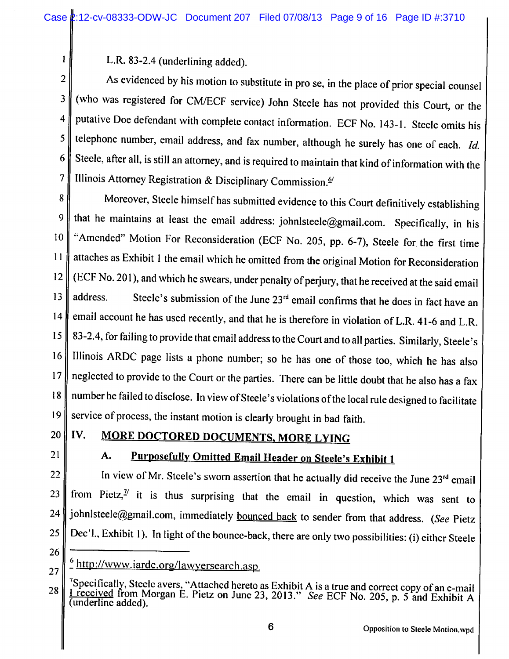L.R. 83-2.4 (underlining added).

 $\overline{2}$ As evidenced by his motion to substitute in pro se, in the place of prior special counsel (who was registered for CM/ECF service) John Steele has not provided this Court, or the  $\overline{3}$ putative Doe defendant with complete contact information. ECF No. 143-1. Steele omits his  $\overline{\mathbf{4}}$ telephone number, email address, and fax number, although he surely has one of each. Id. 5 Steele, after all, is still an attorney, and is required to maintain that kind of information with the 6 Illinois Attorney Registration & Disciplinary Commission.<sup>6/</sup>  $\overline{7}$ 

Moreover, Steele himself has submitted evidence to this Court definitively establishing 8 that he maintains at least the email address: johnlsteele@gmail.com. Specifically, in his **Q** "Amended" Motion For Reconsideration (ECF No. 205, pp. 6-7), Steele for the first time  $10$ attaches as Exhibit 1 the email which he omitted from the original Motion for Reconsideration  $11$ (ECF No. 201), and which he swears, under penalty of perjury, that he received at the said email 12 Steele's submission of the June 23<sup>rd</sup> email confirms that he does in fact have an 13 address. email account he has used recently, and that he is therefore in violation of L.R. 41-6 and L.R. 14 83-2.4, for failing to provide that email address to the Court and to all parties. Similarly, Steele's 15 Illinois ARDC page lists a phone number; so he has one of those too, which he has also 16 neglected to provide to the Court or the parties. There can be little doubt that he also has a fax 17 number he failed to disclose. In view of Steele's violations of the local rule designed to facilitate 18 service of process, the instant motion is clearly brought in bad faith. 19

20

IV.

 $\mathbf{1}$ 

## MORE DOCTORED DOCUMENTS, MORE LYING

 $21$ 

#### **Purposefully Omitted Email Header on Steele's Exhibit 1**  $\mathbf{A}$ .

In view of Mr. Steele's sworn assertion that he actually did receive the June 23rd email 22 from Pietz, $\frac{\gamma}{2}$  it is thus surprising that the email in question, which was sent to 23 johnlsteele@gmail.com, immediately bounced back to sender from that address. (See Pietz 24 Dec'l., Exhibit 1). In light of the bounce-back, there are only two possibilities: (i) either Steele 25

 $\frac{6}{2}$  http://www.iardc.org/lawyersearch.asp.

<sup>&</sup>lt;sup>7</sup>Specifically, Steele avers, "Attached hereto as Exhibit A is a true and correct copy of an e-mail *I* received from Morgan E. Pietz on June 23, 2013." *See* ECF No. 205, p. 5 and Exhibit A 28 (underline added).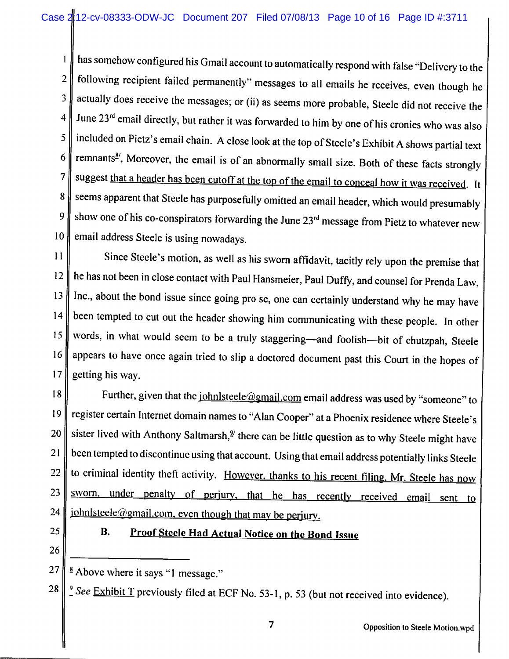has somehow configured his Gmail account to automatically respond with false "Delivery to the  $\mathbf{1}$ following recipient failed permanently" messages to all emails he receives, even though he  $\overline{2}$ actually does receive the messages; or (ii) as seems more probable, Steele did not receive the  $\mathbf{3}$ June 23<sup>rd</sup> email directly, but rather it was forwarded to him by one of his cronies who was also  $\overline{4}$ included on Pietz's email chain. A close look at the top of Steele's Exhibit A shows partial text 5 remnants<sup>8/</sup>, Moreover, the email is of an abnormally small size. Both of these facts strongly 6 suggest that a header has been cutoff at the top of the email to conceal how it was received. It  $\overline{7}$ seems apparent that Steele has purposefully omitted an email header, which would presumably 8 show one of his co-conspirators forwarding the June 23<sup>rd</sup> message from Pietz to whatever new 9 email address Steele is using nowadays.  $10$ 

 $11$ Since Steele's motion, as well as his sworn affidavit, tacitly rely upon the premise that he has not been in close contact with Paul Hansmeier, Paul Duffy, and counsel for Prenda Law, 12 Inc., about the bond issue since going pro se, one can certainly understand why he may have 13 been tempted to cut out the header showing him communicating with these people. In other  $14$ words, in what would seem to be a truly staggering—and foolish—bit of chutzpah, Steele 15 appears to have once again tried to slip a doctored document past this Court in the hopes of 16 getting his way.  $17$ 

Further, given that the johnlsteele@gmail.com email address was used by "someone" to 18 register certain Internet domain names to "Alan Cooper" at a Phoenix residence where Steele's 19 sister lived with Anthony Saltmarsh,<sup>9</sup> there can be little question as to why Steele might have 20 been tempted to discontinue using that account. Using that email address potentially links Steele 21 22 to criminal identity theft activity. However, thanks to his recent filing, Mr. Steele has now sworn, under penalty of perjury, that he has recently received email sent to 23 iohnlsteele@gmail.com, even though that may be perjury. 24

25 26

#### **Proof Steele Had Actual Notice on the Bond Issue B.**

- 27 <sup>8</sup> Above where it says "1 message."
- $\frac{9}{2}$  See Exhibit T previously filed at ECF No. 53-1, p. 53 (but not received into evidence). 28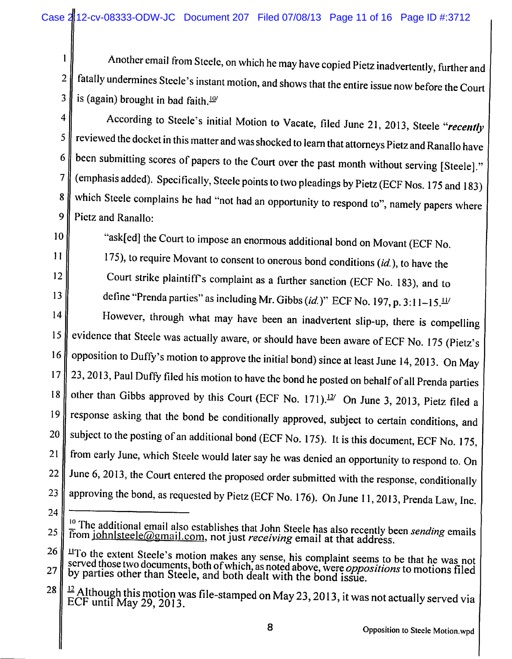Another email from Steele, on which he may have copied Pietz inadvertently, further and  $\mathbf{1}$ fatally undermines Steele's instant motion, and shows that the entire issue now before the Court  $\overline{2}$ 3 is (again) brought in bad faith. $10$ 

According to Steele's initial Motion to Vacate, filed June 21, 2013, Steele "recently  $\overline{4}$ reviewed the docket in this matter and was shocked to learn that attorneys Pietz and Ranallo have 5 been submitting scores of papers to the Court over the past month without serving [Steele]." 6 (emphasis added). Specifically, Steele points to two pleadings by Pietz (ECF Nos. 175 and 183)  $\overline{7}$ which Steele complains he had "not had an opportunity to respond to", namely papers where 8 Pictz and Ranallo:

10

 $11$ 

 $12$ 

13

9

"ask[ed] the Court to impose an enormous additional bond on Movant (ECF No.

175), to require Movant to consent to onerous bond conditions (id.), to have the Court strike plaintiff's complaint as a further sanction (ECF No. 183), and to define "Prenda parties" as including Mr. Gibbs (id.)" ECF No. 197, p. 3:11-15. $\frac{11}{1}$ 

However, through what may have been an inadvertent slip-up, there is compelling 14 evidence that Steele was actually aware, or should have been aware of ECF No. 175 (Pietz's 15 opposition to Duffy's motion to approve the initial bond) since at least June 14, 2013. On May 16 23, 2013, Paul Duffy filed his motion to have the bond he posted on behalf of all Prenda parties  $17$ other than Gibbs approved by this Court (ECF No. 171).<sup>12/</sup> On June 3, 2013, Pietz filed a 18 response asking that the bond be conditionally approved, subject to certain conditions, and 19 subject to the posting of an additional bond (ECF No. 175). It is this document, ECF No. 175, 20 from early June, which Steele would later say he was denied an opportunity to respond to. On 21 June 6, 2013, the Court entered the proposed order submitted with the response, conditionally 22 approving the bond, as requested by Pietz (ECF No. 176). On June 11, 2013, Prenda Law, Inc. 23

 $\frac{10}{10}$  The additional email also establishes that John Steele has also recently been *sending* emails from johnlsteele@gmail.com, not just *receiving* email at that address. 25

<sup>&</sup>lt;sup>11</sup>To the extent Steele's motion makes any sense, his complaint seems to be that he was not 26 served those two documents, both of which, as noted above, were oppositions to motions filed 27 by parties other than Steele, and both dealt with the bond issue.

<sup>&</sup>lt;sup>12</sup> Although this motion was file-stamped on May 23, 2013, it was not actually served via ECF until May 29, 2013. 28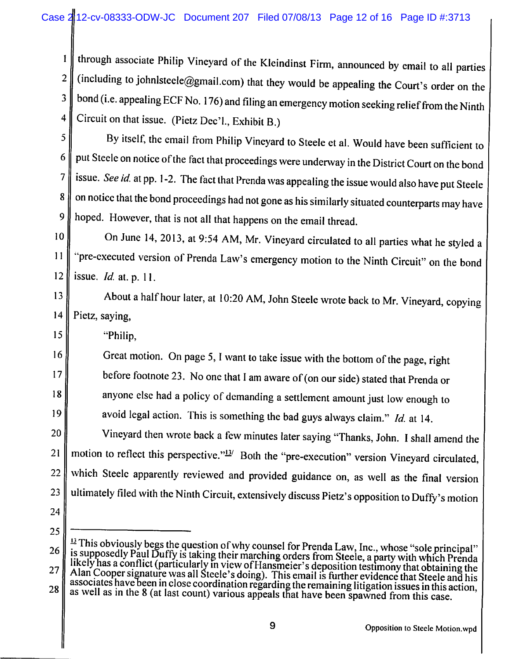through associate Philip Vineyard of the Kleindinst Firm, announced by email to all parties  $\mathbf{I}$ (including to johnlsteele@gmail.com) that they would be appealing the Court's order on the  $\overline{2}$ bond (i.e. appealing ECF No. 176) and filing an emergency motion seeking relief from the Ninth 3 Circuit on that issue. (Pietz Dec'l., Exhibit B.)  $\overline{\mathbf{4}}$ 

5

 $\overline{7}$ 

8

9

15

16

 $17$ 

18

19

By itself, the email from Philip Vineyard to Steele et al. Would have been sufficient to put Steele on notice of the fact that proceedings were underway in the District Court on the bond 6 issue. See id. at pp. 1-2. The fact that Prenda was appealing the issue would also have put Steele on notice that the bond proceedings had not gone as his similarly situated counterparts may have hoped. However, that is not all that happens on the email thread.

10 On June 14, 2013, at 9:54 AM, Mr. Vineyard circulated to all parties what he styled a "pre-executed version of Prenda Law's emergency motion to the Ninth Circuit" on the bond  $11$ issue.  $Id$ . at. p. 11.  $12$ 

13 About a half hour later, at 10:20 AM, John Steele wrote back to Mr. Vineyard, copying  $14$ Pietz, saying,

"Philip,

Great motion. On page 5, I want to take issue with the bottom of the page, right before footnote 23. No one that I am aware of (on our side) stated that Prenda or anyone else had a policy of demanding a settlement amount just low enough to avoid legal action. This is something the bad guys always claim."  $Id$ . at 14.

Vineyard then wrote back a few minutes later saying "Thanks, John. I shall amend the 20 motion to reflect this perspective."<sup>13</sup>/ Both the "pre-execution" version Vineyard circulated,  $21$ which Steele apparently reviewed and provided guidance on, as well as the final version 22 ultimately filed with the Ninth Circuit, extensively discuss Pietz's opposition to Duffy's motion 23

24

<sup>&</sup>lt;sup>13</sup> This obviously begs the question of why counsel for Prenda Law, Inc., whose "sole principal" is supposedly Paul Duffy is taking their marching orders from Steele, a party with which Prenda 26 likely has a conflict (particularly in view of Hansmeier's deposition testimony that obtaining the Alan Cooper signature was all Steele's doing). This email is further evidence that Steele and his associates have been in close coordination regarding the remaining litigation issues in this action, as well as in the 8 (at 27 28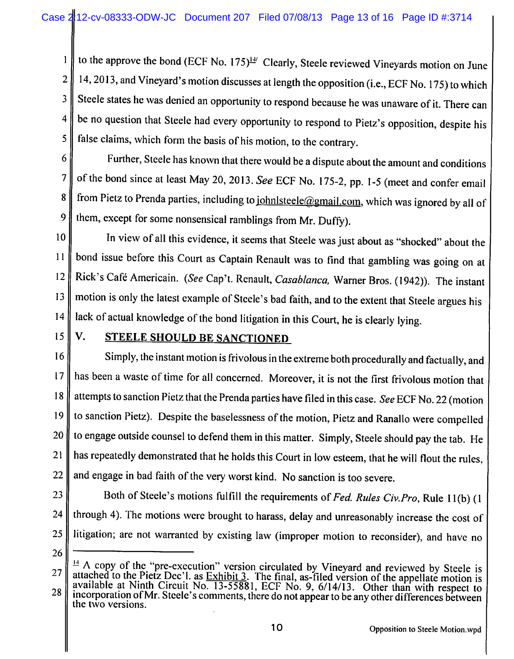to the approve the bond (ECF No.  $175$ )<sup> $14$ </sup> Clearly, Steele reviewed Vineyards motion on June  $\mathbf{1}$ 14, 2013, and Vineyard's motion discusses at length the opposition (i.e., ECF No. 175) to which  $\overline{2}$ Steele states he was denied an opportunity to respond because he was unaware of it. There can  $\mathbf{3}$ be no question that Steele had every opportunity to respond to Pietz's opposition, despite his  $\overline{4}$ false claims, which form the basis of his motion, to the contrary. 5

Further, Steele has known that there would be a dispute about the amount and conditions 6 of the bond since at least May 20, 2013. See ECF No. 175-2, pp. 1-5 (meet and confer email 7 from Pietz to Prenda parties, including to johnlsteele@gmail.com, which was ignored by all of  $\mathbf{8}$ them, except for some nonsensical ramblings from Mr. Duffy). 9

In view of all this evidence, it seems that Steele was just about as "shocked" about the  $10$ bond issue before this Court as Captain Renault was to find that gambling was going on at  $11$ Rick's Café Americain. (See Cap't. Renault, Casablanca, Warner Bros. (1942)). The instant 12 motion is only the latest example of Steele's bad faith, and to the extent that Steele argues his 13 lack of actual knowledge of the bond litigation in this Court, he is clearly lying. 14

15

V.

## STEELE SHOULD BE SANCTIONED

Simply, the instant motion is frivolous in the extreme both procedurally and factually, and 16 has been a waste of time for all concerned. Moreover, it is not the first frivolous motion that  $17$ attempts to sanction Pietz that the Prenda parties have filed in this case. See ECF No. 22 (motion 18 to sanction Pietz). Despite the baselessness of the motion, Pietz and Ranallo were compelled 19 to engage outside counsel to defend them in this matter. Simply, Steele should pay the tab. He 20 has repeatedly demonstrated that he holds this Court in low esteem, that he will flout the rules, 21 and engage in bad faith of the very worst kind. No sanction is too severe. 22

23

Both of Steele's motions fulfill the requirements of Fed. Rules Civ. Pro, Rule 11(b) (1 through 4). The motions were brought to harass, delay and unreasonably increase the cost of 24 litigation; are not warranted by existing law (improper motion to reconsider), and have no 25

<sup>&</sup>lt;sup>14</sup> A copy of the "pre-execution" version circulated by Vineyard and reviewed by Steele is attached to the Pietz Dec'l. as **Exhibit 3**. The final, as-filed version of the appellate motion is available at Ninth Circuit No 27 28 incorporation of Mr. Steele's comments, there do not appear to be any other differences between the two versions.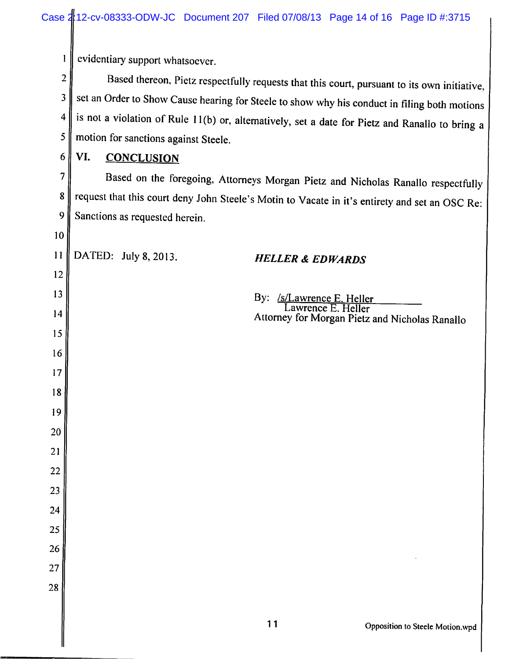|                | Case 2:12-cv-08333-ODW-JC Document 207 Filed 07/08/13 Page 14 of 16 Page ID #:3715              |
|----------------|-------------------------------------------------------------------------------------------------|
| 1              | evidentiary support whatsoever.                                                                 |
| $\overline{2}$ | Based thereon, Pietz respectfully requests that this court, pursuant to its own initiative,     |
| 3              | set an Order to Show Cause hearing for Steele to show why his conduct in filing both motions    |
| 4              | is not a violation of Rule 11(b) or, alternatively, set a date for Pietz and Ranallo to bring a |
| 5              | motion for sanctions against Steele.                                                            |
| 6              | VI.<br><b>CONCLUSION</b>                                                                        |
| 7              | Based on the foregoing, Attorneys Morgan Pietz and Nicholas Ranallo respectfully                |
| 8              | request that this court deny John Steele's Motin to Vacate in it's entirety and set an OSC Re:  |
| 9              | Sanctions as requested herein.                                                                  |
| 10             |                                                                                                 |
| 11             | DATED: July 8, 2013.<br><b>HELLER &amp; EDWARDS</b>                                             |
| 12             |                                                                                                 |
| 13             | By: /s/Lawrence E. Heller                                                                       |
| 14             | Lawrence E. Heller<br>Attorney for Morgan Pietz and Nicholas Ranallo                            |
| 15             |                                                                                                 |
| 16             |                                                                                                 |
| 17             |                                                                                                 |
| 18             |                                                                                                 |
| 19             |                                                                                                 |
| 20             |                                                                                                 |
| 21             |                                                                                                 |
| 22             |                                                                                                 |
| 23             |                                                                                                 |
| 24             |                                                                                                 |
| 25<br>26       |                                                                                                 |
| 27             |                                                                                                 |
| 28             |                                                                                                 |
|                |                                                                                                 |
|                |                                                                                                 |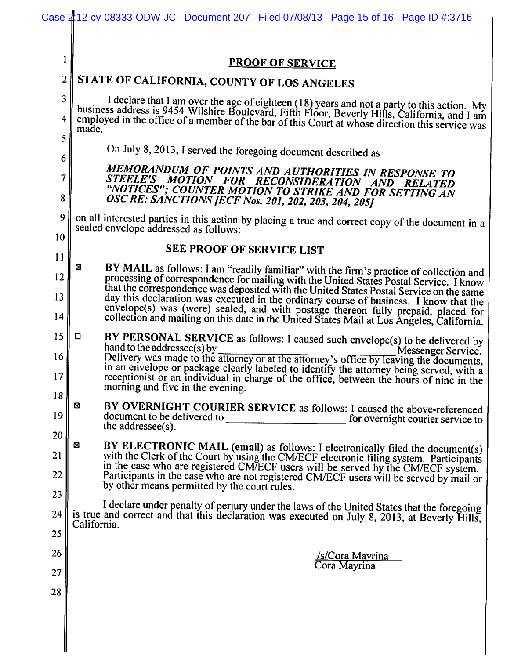|                | Case $2\frac{1}{2}$ 12-cv-08333-ODW-JC Document 207 Filed 07/08/13 Page 15 of 16 Page ID #:3716                                                                                                                                                                         |
|----------------|-------------------------------------------------------------------------------------------------------------------------------------------------------------------------------------------------------------------------------------------------------------------------|
|                |                                                                                                                                                                                                                                                                         |
| 1              | <b>PROOF OF SERVICE</b>                                                                                                                                                                                                                                                 |
| $\overline{2}$ | STATE OF CALIFORNIA, COUNTY OF LOS ANGELES                                                                                                                                                                                                                              |
| 3              | I declare that I am over the age of eighteen (18) years and not a party to this action. My                                                                                                                                                                              |
| 4<br>5         | business address is 9454 Wilshire Boulevard, Fifth Floor, Beverly Hills, California, and I am<br>employed in the office of a member of the bar of this Court at whose direction this service was<br>made.                                                               |
| 6              | On July 8, 2013, I served the foregoing document described as                                                                                                                                                                                                           |
| 7<br>8         | MEMORANDUM OF POINTS AND AUTHORITIES IN RESPONSE TO<br>STEELE'S MOTION FOR RECONSIDERATION AND<br><b>RELATED</b><br>"NOTICES"; COUNTER MOTION TO STRIKE AND FOR SETTING AN<br>OSC RE: SANCTIONS [ECF Nos. 201, 202, 203, 204, 205]                                      |
| 9              | on all interested parties in this action by placing a true and correct copy of the document in a<br>sealed envelope addressed as follows:                                                                                                                               |
| 10             | SEE PROOF OF SERVICE LIST                                                                                                                                                                                                                                               |
| 11             | ⊠<br>BY MAIL as follows: I am "readily familiar" with the firm's practice of collection and                                                                                                                                                                             |
| 12             | processing of correspondence for mailing with the United States Postal Service. I know<br>that the correspondence was deposited with the United States Postal Service on the same                                                                                       |
| 13<br>14       | day this declaration was executed in the ordinary course of business. I know that the<br>envelope(s) was (were) sealed, and with postage thereon fully prepaid, placed for<br>collection and mailing on this date in the United States Mail at Los Angeles, California. |
| 15             | α<br>BY PERSONAL SERVICE as follows: I caused such envelope(s) to be delivered by<br>hand to the addressee(s) by                                                                                                                                                        |
| 16             | Messenger Service.<br>Delivery was made to the attorney or at the attorney's office by leaving the documents,                                                                                                                                                           |
| 17             | in an envelope or package clearly labeled to identify the attorney being served, with a<br>receptionist or an individual in charge of the office, between the hours of nine in the<br>morning and five in the evening.                                                  |
| 18             | Ø<br>BY OVERNIGHT COURIER SERVICE as follows: I caused the above-referenced                                                                                                                                                                                             |
| 19             | for overnight courier service to<br>the addressee $(s)$ .                                                                                                                                                                                                               |
| 20             | ⊠<br>BY ELECTRONIC MAIL (email) as follows: I electronically filed the document(s)                                                                                                                                                                                      |
| 21             | with the Clerk of the Court by using the CM/ECF electronic filing system. Participants<br>in the case who are registered CM/ECF users will be served by the CM/ECF system.                                                                                              |
| 22             | Participants in the case who are not registered CM/ECF users will be served by mail or<br>by other means permitted by the court rules.                                                                                                                                  |
| 23             | I declare under penalty of perjury under the laws of the United States that the foregoing                                                                                                                                                                               |
| 24<br>25       | is true and correct and that this declaration was executed on July 8, 2013, at Beverly Hills,<br>California.                                                                                                                                                            |
| 26             |                                                                                                                                                                                                                                                                         |
| 27             | <u>/s/Cora Mayrina</u><br>Cora Mayrina                                                                                                                                                                                                                                  |
| 28             |                                                                                                                                                                                                                                                                         |
|                |                                                                                                                                                                                                                                                                         |